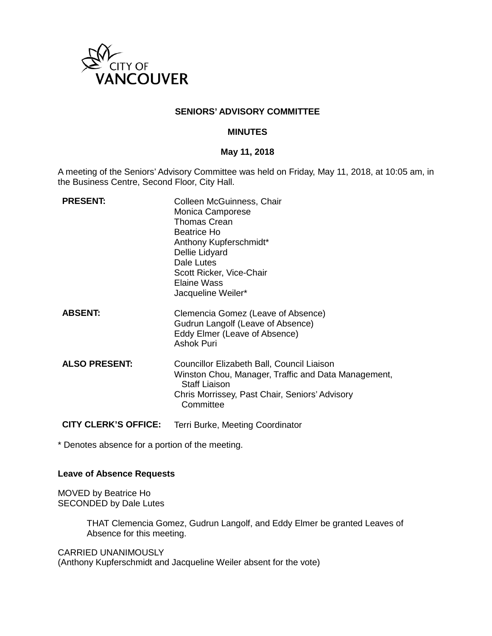

## **SENIORS' ADVISORY COMMITTEE**

#### **MINUTES**

#### **May 11, 2018**

A meeting of the Seniors' Advisory Committee was held on Friday, May 11, 2018, at 10:05 am, in the Business Centre, Second Floor, City Hall.

| <b>PRESENT:</b>             | Colleen McGuinness, Chair<br>Monica Camporese<br><b>Thomas Crean</b><br><b>Beatrice Ho</b><br>Anthony Kupferschmidt*<br>Dellie Lidyard<br>Dale Lutes<br>Scott Ricker, Vice-Chair<br>Elaine Wass<br>Jacqueline Weiler* |
|-----------------------------|-----------------------------------------------------------------------------------------------------------------------------------------------------------------------------------------------------------------------|
| <b>ABSENT:</b>              | Clemencia Gomez (Leave of Absence)<br>Gudrun Langolf (Leave of Absence)<br>Eddy Elmer (Leave of Absence)<br><b>Ashok Puri</b>                                                                                         |
| <b>ALSO PRESENT:</b>        | Councillor Elizabeth Ball, Council Liaison<br>Winston Chou, Manager, Traffic and Data Management,<br><b>Staff Liaison</b><br>Chris Morrissey, Past Chair, Seniors' Advisory<br>Committee                              |
| <b>CITY CLERK'S OFFICE:</b> | Terri Burke, Meeting Coordinator                                                                                                                                                                                      |

\* Denotes absence for a portion of the meeting.

## **Leave of Absence Requests**

MOVED by Beatrice Ho SECONDED by Dale Lutes

> THAT Clemencia Gomez, Gudrun Langolf, and Eddy Elmer be granted Leaves of Absence for this meeting.

CARRIED UNANIMOUSLY

(Anthony Kupferschmidt and Jacqueline Weiler absent for the vote)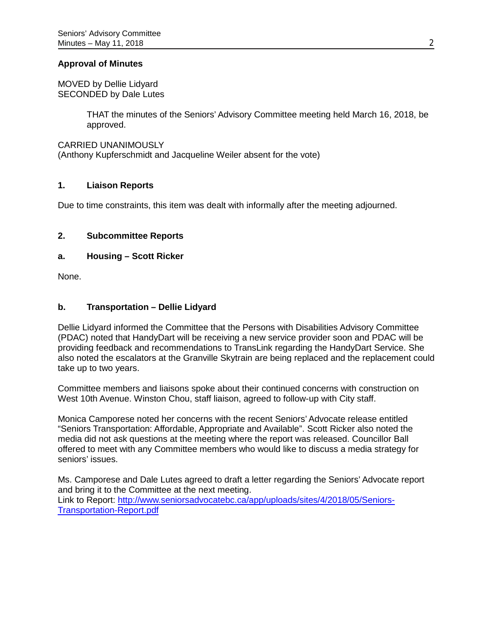## **Approval of Minutes**

MOVED by Dellie Lidyard SECONDED by Dale Lutes

> THAT the minutes of the Seniors' Advisory Committee meeting held March 16, 2018, be approved.

CARRIED UNANIMOUSLY

(Anthony Kupferschmidt and Jacqueline Weiler absent for the vote)

## **1. Liaison Reports**

Due to time constraints, this item was dealt with informally after the meeting adjourned.

## **2. Subcommittee Reports**

## **a. Housing – Scott Ricker**

None.

## **b. Transportation – Dellie Lidyard**

Dellie Lidyard informed the Committee that the Persons with Disabilities Advisory Committee (PDAC) noted that HandyDart will be receiving a new service provider soon and PDAC will be providing feedback and recommendations to TransLink regarding the HandyDart Service. She also noted the escalators at the Granville Skytrain are being replaced and the replacement could take up to two years.

Committee members and liaisons spoke about their continued concerns with construction on West 10th Avenue. Winston Chou, staff liaison, agreed to follow-up with City staff.

Monica Camporese noted her concerns with the recent Seniors' Advocate release entitled "Seniors Transportation: Affordable, Appropriate and Available". Scott Ricker also noted the media did not ask questions at the meeting where the report was released. Councillor Ball offered to meet with any Committee members who would like to discuss a media strategy for seniors' issues.

Ms. Camporese and Dale Lutes agreed to draft a letter regarding the Seniors' Advocate report and bring it to the Committee at the next meeting. Link to Report: [http://www.seniorsadvocatebc.ca/app/uploads/sites/4/2018/05/Seniors-](http://www.seniorsadvocatebc.ca/app/uploads/sites/4/2018/05/Seniors-Transportation-Report.pdf)[Transportation-Report.pdf](http://www.seniorsadvocatebc.ca/app/uploads/sites/4/2018/05/Seniors-Transportation-Report.pdf)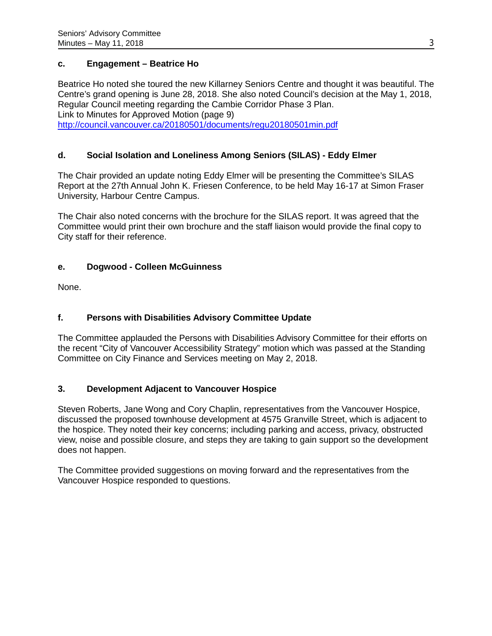# **c. Engagement – Beatrice Ho**

Beatrice Ho noted she toured the new Killarney Seniors Centre and thought it was beautiful. The Centre's grand opening is June 28, 2018. She also noted Council's decision at the May 1, 2018, Regular Council meeting regarding the Cambie Corridor Phase 3 Plan. Link to Minutes for Approved Motion (page 9) <http://council.vancouver.ca/20180501/documents/regu20180501min.pdf>

# **d. Social Isolation and Loneliness Among Seniors (SILAS) - Eddy Elmer**

The Chair provided an update noting Eddy Elmer will be presenting the Committee's SILAS Report at the 27th Annual John K. Friesen Conference, to be held May 16-17 at Simon Fraser University, Harbour Centre Campus.

The Chair also noted concerns with the brochure for the SILAS report. It was agreed that the Committee would print their own brochure and the staff liaison would provide the final copy to City staff for their reference.

# **e. Dogwood - Colleen McGuinness**

None.

# **f. Persons with Disabilities Advisory Committee Update**

The Committee applauded the Persons with Disabilities Advisory Committee for their efforts on the recent "City of Vancouver Accessibility Strategy" motion which was passed at the Standing Committee on City Finance and Services meeting on May 2, 2018.

# **3. Development Adjacent to Vancouver Hospice**

Steven Roberts, Jane Wong and Cory Chaplin, representatives from the Vancouver Hospice, discussed the proposed townhouse development at 4575 Granville Street, which is adjacent to the hospice. They noted their key concerns; including parking and access, privacy, obstructed view, noise and possible closure, and steps they are taking to gain support so the development does not happen.

The Committee provided suggestions on moving forward and the representatives from the Vancouver Hospice responded to questions.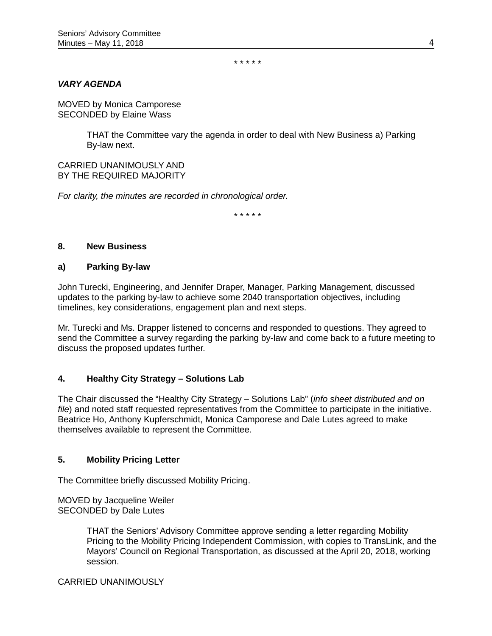\* \* \* \* \*

## *VARY AGENDA*

MOVED by Monica Camporese SECONDED by Elaine Wass

> THAT the Committee vary the agenda in order to deal with New Business a) Parking By-law next.

#### CARRIED UNANIMOUSLY AND BY THE REQUIRED MAJORITY

*For clarity, the minutes are recorded in chronological order.*

\* \* \* \* \*

#### **8. New Business**

#### **a) Parking By-law**

John Turecki, Engineering, and Jennifer Draper, Manager, Parking Management, discussed updates to the parking by-law to achieve some 2040 transportation objectives, including timelines, key considerations, engagement plan and next steps.

Mr. Turecki and Ms. Drapper listened to concerns and responded to questions. They agreed to send the Committee a survey regarding the parking by-law and come back to a future meeting to discuss the proposed updates further.

# **4. Healthy City Strategy – Solutions Lab**

The Chair discussed the "Healthy City Strategy – Solutions Lab" (*info sheet distributed and on file*) and noted staff requested representatives from the Committee to participate in the initiative. Beatrice Ho, Anthony Kupferschmidt, Monica Camporese and Dale Lutes agreed to make themselves available to represent the Committee.

#### **5. Mobility Pricing Letter**

The Committee briefly discussed Mobility Pricing.

MOVED by Jacqueline Weiler SECONDED by Dale Lutes

> THAT the Seniors' Advisory Committee approve sending a letter regarding Mobility Pricing to the Mobility Pricing Independent Commission, with copies to TransLink, and the Mayors' Council on Regional Transportation, as discussed at the April 20, 2018, working session.

#### CARRIED UNANIMOUSLY